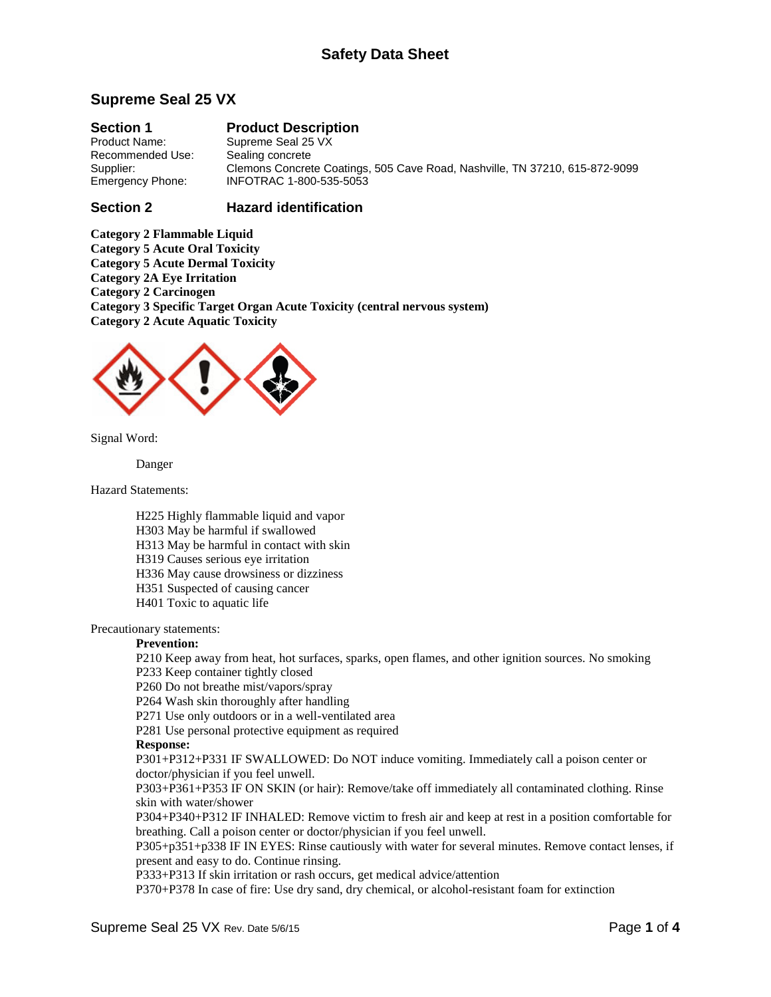# **Supreme Seal 25 VX**

**Section 1 Product Description**<br>Product Name: Supreme Seal 25 VX Supreme Seal 25 VX<br>Sealing concrete Recommended Use:<br>Supplier: Supplier: Clemons Concrete Coatings, 505 Cave Road, Nashville, TN 37210, 615-872-9099<br>Emergency Phone: INFOTRAC 1-800-535-5053 Emergency Phone: INFOTRAC 1-800-535-5053

# **Section 2 Hazard identification**

**Category 2 Flammable Liquid Category 5 Acute Oral Toxicity Category 5 Acute Dermal Toxicity Category 2A Eye Irritation Category 2 Carcinogen Category 3 Specific Target Organ Acute Toxicity (central nervous system) Category 2 Acute Aquatic Toxicity**



Signal Word:

Danger

Hazard Statements:

H225 Highly flammable liquid and vapor

H303 May be harmful if swallowed

H313 May be harmful in contact with skin

H319 Causes serious eye irritation

H336 May cause drowsiness or dizziness

H351 Suspected of causing cancer

H401 Toxic to aquatic life

Precautionary statements:

# **Prevention:**

P210 Keep away from heat, hot surfaces, sparks, open flames, and other ignition sources. No smoking P233 Keep container tightly closed

P260 Do not breathe mist/vapors/spray

P264 Wash skin thoroughly after handling

P271 Use only outdoors or in a well-ventilated area

P281 Use personal protective equipment as required

### **Response:**

P301+P312+P331 IF SWALLOWED: Do NOT induce vomiting. Immediately call a poison center or doctor/physician if you feel unwell.

P303+P361+P353 IF ON SKIN (or hair): Remove/take off immediately all contaminated clothing. Rinse skin with water/shower

P304+P340+P312 IF INHALED: Remove victim to fresh air and keep at rest in a position comfortable for breathing. Call a poison center or doctor/physician if you feel unwell.

P305+p351+p338 IF IN EYES: Rinse cautiously with water for several minutes. Remove contact lenses, if present and easy to do. Continue rinsing.

P333+P313 If skin irritation or rash occurs, get medical advice/attention

P370+P378 In case of fire: Use dry sand, dry chemical, or alcohol-resistant foam for extinction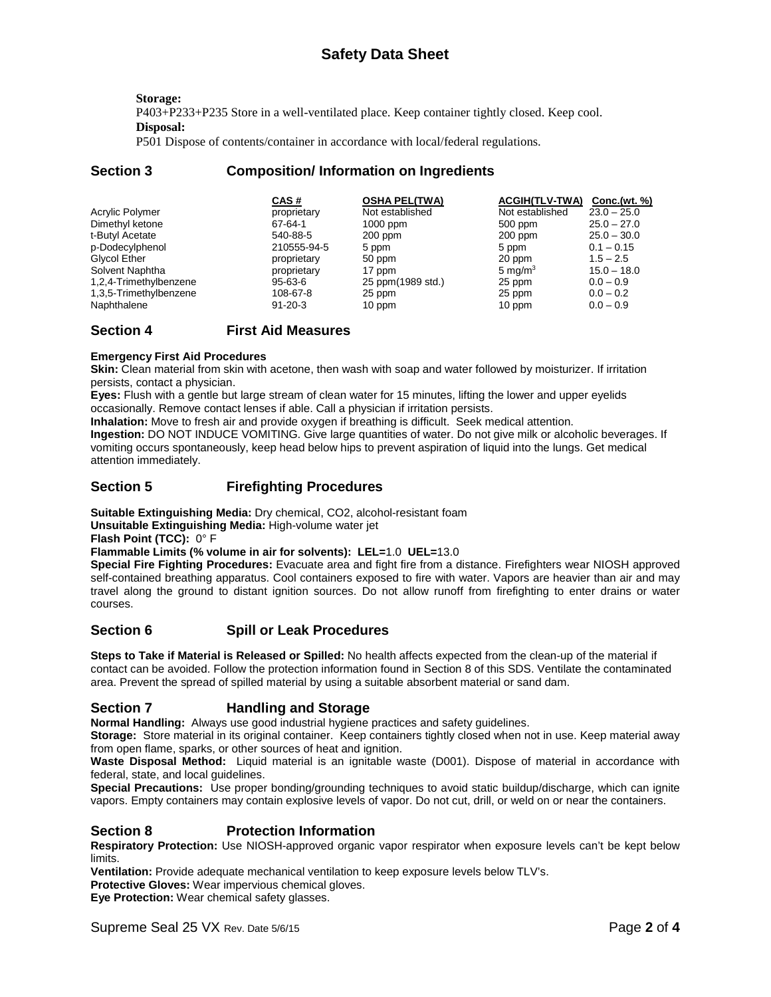**Storage:** P403+P233+P235 Store in a well-ventilated place. Keep container tightly closed. Keep cool. **Disposal:**

P501 Dispose of contents/container in accordance with local/federal regulations.

# **Section 3 Composition/ Information on Ingredients**

|                        | CAS#          | <b>OSHA PEL(TWA)</b> | <b>ACGIH(TLV-TWA)</b> | Conc.(wt. %)  |
|------------------------|---------------|----------------------|-----------------------|---------------|
| Acrylic Polymer        | proprietary   | Not established      | Not established       | $23.0 - 25.0$ |
| Dimethyl ketone        | 67-64-1       | $1000$ ppm           | 500 ppm               | $25.0 - 27.0$ |
| t-Butyl Acetate        | 540-88-5      | $200$ ppm            | $200$ ppm             | $25.0 - 30.0$ |
| p-Dodecylphenol        | 210555-94-5   | 5 ppm                | 5 ppm                 | $0.1 - 0.15$  |
| Glycol Ether           | proprietary   | 50 ppm               | 20 ppm                | $1.5 - 2.5$   |
| Solvent Naphtha        | proprietary   | 17 ppm               | 5 mg/ $m3$            | $15.0 - 18.0$ |
| 1,2,4-Trimethylbenzene | $95 - 63 - 6$ | 25 ppm(1989 std.)    | 25 ppm                | $0.0 - 0.9$   |
| 1,3,5-Trimethylbenzene | 108-67-8      | 25 ppm               | 25 ppm                | $0.0 - 0.2$   |
| Naphthalene            | $91 - 20 - 3$ | 10 ppm               | 10 ppm                | $0.0 - 0.9$   |

# **Section 4 First Aid Measures**

#### **Emergency First Aid Procedures**

**Skin:** Clean material from skin with acetone, then wash with soap and water followed by moisturizer. If irritation persists, contact a physician.

**Eyes:** Flush with a gentle but large stream of clean water for 15 minutes, lifting the lower and upper eyelids occasionally. Remove contact lenses if able. Call a physician if irritation persists.

**Inhalation:** Move to fresh air and provide oxygen if breathing is difficult. Seek medical attention.

**Ingestion:** DO NOT INDUCE VOMITING. Give large quantities of water. Do not give milk or alcoholic beverages. If vomiting occurs spontaneously, keep head below hips to prevent aspiration of liquid into the lungs. Get medical attention immediately.

# **Section 5 Firefighting Procedures**

**Suitable Extinguishing Media:** Dry chemical, CO2, alcohol-resistant foam

**Unsuitable Extinguishing Media:** High-volume water jet

**Flash Point (TCC):** 0° F

**Flammable Limits (% volume in air for solvents): LEL=**1.0 **UEL=**13.0

**Special Fire Fighting Procedures:** Evacuate area and fight fire from a distance. Firefighters wear NIOSH approved self-contained breathing apparatus. Cool containers exposed to fire with water. Vapors are heavier than air and may travel along the ground to distant ignition sources. Do not allow runoff from firefighting to enter drains or water courses.

# **Section 6 Spill or Leak Procedures**

**Steps to Take if Material is Released or Spilled:** No health affects expected from the clean-up of the material if contact can be avoided. Follow the protection information found in Section 8 of this SDS. Ventilate the contaminated area. Prevent the spread of spilled material by using a suitable absorbent material or sand dam.

# **Section 7 Handling and Storage**

**Normal Handling:** Always use good industrial hygiene practices and safety guidelines.

**Storage:** Store material in its original container. Keep containers tightly closed when not in use. Keep material away from open flame, sparks, or other sources of heat and ignition.

**Waste Disposal Method:** Liquid material is an ignitable waste (D001). Dispose of material in accordance with federal, state, and local guidelines.

**Special Precautions:** Use proper bonding/grounding techniques to avoid static buildup/discharge, which can ignite vapors. Empty containers may contain explosive levels of vapor. Do not cut, drill, or weld on or near the containers.

# **Section 8 Protection Information**

**Respiratory Protection:** Use NIOSH-approved organic vapor respirator when exposure levels can't be kept below limits.

**Ventilation:** Provide adequate mechanical ventilation to keep exposure levels below TLV's.

**Protective Gloves:** Wear impervious chemical gloves.

**Eye Protection:** Wear chemical safety glasses.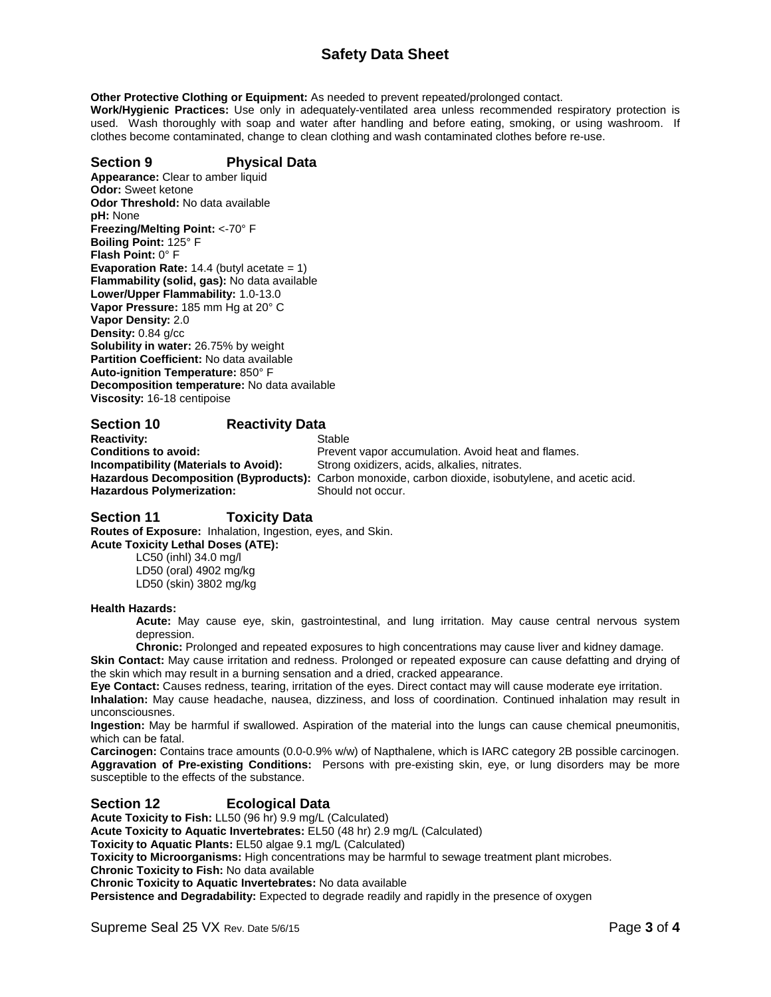# **Safety Data Sheet**

**Other Protective Clothing or Equipment:** As needed to prevent repeated/prolonged contact.

**Work/Hygienic Practices:** Use only in adequately-ventilated area unless recommended respiratory protection is used. Wash thoroughly with soap and water after handling and before eating, smoking, or using washroom. If clothes become contaminated, change to clean clothing and wash contaminated clothes before re-use.

## **Section 9 Physical Data**

**Appearance:** Clear to amber liquid **Odor:** Sweet ketone **Odor Threshold:** No data available **pH:** None **Freezing/Melting Point:** <-70° F **Boiling Point:** 125° F **Flash Point:** 0° F **Evaporation Rate:** 14.4 (butyl acetate = 1) **Flammability (solid, gas):** No data available **Lower/Upper Flammability:** 1.0-13.0 **Vapor Pressure:** 185 mm Hg at 20° C **Vapor Density:** 2.0 **Density:** 0.84 g/cc **Solubility in water:** 26.75% by weight **Partition Coefficient:** No data available **Auto-ignition Temperature:** 850° F **Decomposition temperature:** No data available **Viscosity:** 16-18 centipoise

# **Section 10 Reactivity Data**

**Reactivity:** Stable **Hazardous Polymerization:** 

**Conditions to avoid:** Prevent vapor accumulation. Avoid heat and flames.<br> **Incompatibility (Materials to Avoid):** Strong oxidizers, acids, alkalies, nitrates. Strong oxidizers, acids, alkalies, nitrates. Hazardous Decomposition (Byproducts): Carbon monoxide, carbon dioxide, isobutylene, and acetic acid.<br>Hazardous Polymerization: Should not occur.

#### **Section 11 Toxicity Data Routes of Exposure:** Inhalation, Ingestion, eyes, and Skin.

**Acute Toxicity Lethal Doses (ATE):**

LC50 (inhl) 34.0 mg/l LD50 (oral) 4902 mg/kg LD50 (skin) 3802 mg/kg

### **Health Hazards:**

**Acute:** May cause eye, skin, gastrointestinal, and lung irritation. May cause central nervous system depression.

**Chronic:** Prolonged and repeated exposures to high concentrations may cause liver and kidney damage. **Skin Contact:** May cause irritation and redness. Prolonged or repeated exposure can cause defatting and drying of the skin which may result in a burning sensation and a dried, cracked appearance.

**Eye Contact:** Causes redness, tearing, irritation of the eyes. Direct contact may will cause moderate eye irritation. **Inhalation:** May cause headache, nausea, dizziness, and loss of coordination. Continued inhalation may result in unconsciousnes.

**Ingestion:** May be harmful if swallowed. Aspiration of the material into the lungs can cause chemical pneumonitis, which can be fatal.

**Carcinogen:** Contains trace amounts (0.0-0.9% w/w) of Napthalene, which is IARC category 2B possible carcinogen. **Aggravation of Pre-existing Conditions:** Persons with pre-existing skin, eye, or lung disorders may be more susceptible to the effects of the substance.

# **Section 12 Ecological Data**

**Acute Toxicity to Fish:** LL50 (96 hr) 9.9 mg/L (Calculated)

**Acute Toxicity to Aquatic Invertebrates:** EL50 (48 hr) 2.9 mg/L (Calculated)

**Toxicity to Aquatic Plants:** EL50 algae 9.1 mg/L (Calculated)

**Toxicity to Microorganisms:** High concentrations may be harmful to sewage treatment plant microbes.

**Chronic Toxicity to Fish:** No data available

**Chronic Toxicity to Aquatic Invertebrates:** No data available

**Persistence and Degradability:** Expected to degrade readily and rapidly in the presence of oxygen